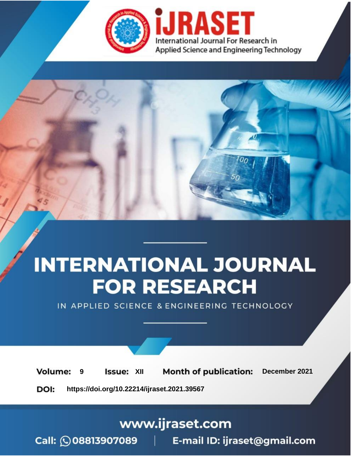

# **INTERNATIONAL JOURNAL FOR RESEARCH**

IN APPLIED SCIENCE & ENGINEERING TECHNOLOGY

**Month of publication: Volume: Issue: XII** December 2021 9 DOI: https://doi.org/10.22214/ijraset.2021.39567

# www.ijraset.com

Call: 008813907089 | E-mail ID: ijraset@gmail.com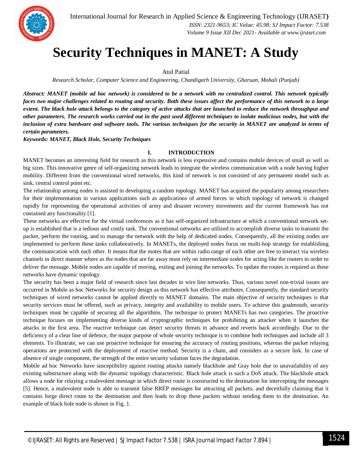

# **Security Techniques in MANET: A Study**

# Atul Patial

*Research Scholar, Computer Science and Engineering, Chandigarh University, Gharuan, Mohali (Punjab)*

*Abstract: MANET (mobile ad hoc network) is considered to be a network with no centralized control. This network typically faces two major challenges related to routing and security. Both these issues affect the performance of this network to a large extent. The black hole attack belongs to the category of active attacks that are launched to reduce the network throughput and other parameters. The research works carried out in the past used different techniques to isolate malicious nodes, but with the inclusion of extra hardware and software tools. The various techniques for the security in MANET are analyzed in terms of certain parameters.* 

*Keywords: MANET, Black Hole, Security Techniques*

### **I. INTRODUCTION**

MANET becomes an interesting field for research as this network is less expensive and contains mobile devices of small as well as big sizes. This innovative genre of self-organizing network leads to integrate the wireless communication with a node having higher mobility. Different from the conventional wired networks, this kind of network is not consisted of any permanent model such as sink, central control point etc.

The relationship among nodes is assisted in developing a random topology. MANET has acquired the popularity among researchers for their implementation in various applications such as applications of armed forces in which topology of network is changed rapidly for representing the operational activities of army and disaster recovery movements and the current framework has not contained any functionality [1].

These networks are effective for the virtual conferences as it has self-organized infrastructure at which a conventional network setup is established that is a tedious and costly task. The conventional networks are utilized to accomplish diverse tasks to transmit the packet, perform the routing, and to manage the network with the help of dedicated nodes. Consequently, all the existing nodes are implemented to perform these tasks collaboratively. In MANETs, the deployed nodes focus on multi-hop strategy for establishing the communication with each other. It means that the motes that are within radio range of each other are free to interact via wireless channels in direct manner where as the nodes that are far away must rely on intermediate nodes for acting like the routers in order to deliver the message. Mobile nodes are capable of moving, exiting and joining the networks. To update the routes is required as these networks have dynamic topology.

The security has been a major field of research since last decades in wire line networks. Thus, various novel non-trivial issues are occurred in Mobile as hoc Networks for security design as this network has effective attributes. Consequently, the standard security techniques of wired networks cannot be applied directly to MANET domains. The main objective of security techniques is that security services must be offered, such as privacy, integrity and availability to mobile users. To achieve this goalmouth, security techniques must be capable of securing all the algorithms. The technique to protect MANETs has two categories. The proactive technique focuses on implementing diverse kinds of cryptographic techniques for prohibiting an attacker when it launches the attacks in the first area. The reactive technique can detect security threats in advance and reverts back accordingly. Due to the deficiency of a clear line of defence, the major purpose of whole security technique is to combine both techniques and include all 3 elements. To illustrate, we can use proactive technique for ensuring the accuracy of routing positions, whereas the packet relaying operations are protected with the deployment of reactive method. Security is a chain, and considers as a secure link. In case of absence of single component, the strength of the entire security solution faces the degradation.

Mobile ad hoc Networks have susceptibility against routing attacks namely blackhole and Gray hole due to unavailability of any existing substructure along with the dynamic topology characteristic. Black hole attack is such a DoS attack. The blackhole attack allows a node for relaying a malevolent message in which direct route is constructed to the destination for intercepting the messages [5]. Hence, a malevolent node is able to transmit false RREP messages for attracting all packets, and deceitfully claiming that it contains forge direct route to the destination and then leads to drop these packets without sending them to the destination. An example of black hole node is shown in Fig. 1.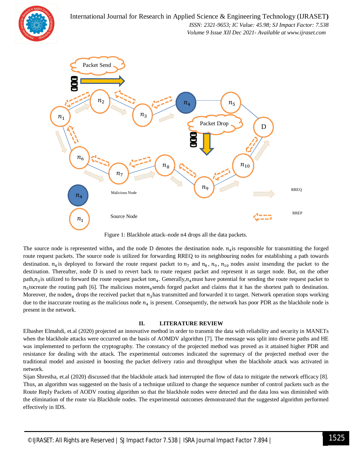



Figure 1: Blackhole attack–node n4 drops all the data packets.

The source node is represented with $n_1$  and the node D denotes the destination node.  $n_4$  is responsible for transmitting the forged route request packets. The source node is utilized for forwarding RREQ to its neighbouring nodes for establishing a path towards destination.  $n_6$  is deployed to forward the route request packet to  $n_7$  and  $n_8$ ,  $n_9$ ,  $n_{10}$  nodes assist insending the packet to the destination. Thereafter, node D is used to revert back to route request packet and represent it as target node. But, on the other path, $n_3$  is utilized to forward the route request packet ton<sub>4</sub>. Generally,  $n_4$  must have potential for sending the route request packet to  $n_5$  tocreate the routing path [6]. The malicious moten<sub>4</sub> sends forged packet and claims that it has the shortest path to destination. Moreover, the node $n_4$  drops the received packet that  $n_3$  has transmitted and forwarded it to target. Network operation stops working due to the inaccurate routing as the malicious node  $n_4$  is present. Consequently, the network has poor PDR as the blackhole node is present in the network.

### **II. LITERATURE REVIEW**

Elbasher Elmahdi, et.al (2020) projected an innovative method in order to transmit the data with reliability and security in MANETs when the blackhole attacks were occurred on the basis of AOMDV algorithm [7]. The message was split into diverse paths and HE was implemented to perform the cryptography. The constancy of the projected method was proved as it attained higher PDR and resistance for dealing with the attack. The experimental outcomes indicated the supremacy of the projected method over the traditional model and assisted in boosting the packet delivery ratio and throughput when the blackhole attack was activated in network.

Sijan Shrestha, et.al (2020) discussed that the blackhole attack had interrupted the flow of data to mitigate the network efficacy [8]. Thus, an algorithm was suggested on the basis of a technique utilized to change the sequence number of control packets such as the Route Reply Packets of AODV routing algorithm so that the blackhole nodes were detected and the data loss was diminished with the elimination of the route via Blackhole nodes. The experimental outcomes demonstrated that the suggested algorithm performed effectively in IDS.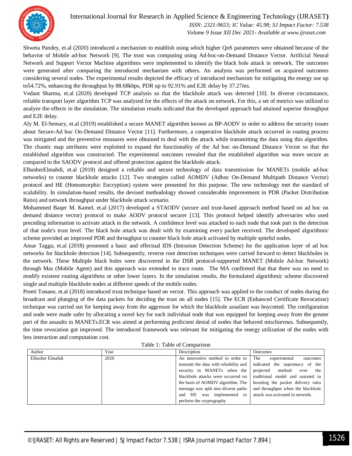

International Journal for Research in Applied Science & Engineering Technology (IJRASET**)**  *ISSN: 2321-9653; IC Value: 45.98; SJ Impact Factor: 7.538*

 *Volume 9 Issue XII Dec 2021- Available at www.ijraset.com*

Shweta Pandey, et.al (2020) introduced a mechanism to establish using which higher QoS parameters were obtained because of the behavior of Mobile ad-hoc Network [9]. The trust was computing using Ad-hoc-on-Demand Distance Vector. Artificial Neural Network and Support Vector Machine algorithms were implemented to identify the black hole attack in network. The outcomes were generated after comparing the introduced mechanism with others. An analysis was performed on acquired outcomes considering several nodes. The experimental results depicted the efficacy of introduced mechanism for mitigating the energy use up to54.72%, enhancing the throughput by 88.68kbps, PDR up to 92.91% and E2E delay by 37.27ms.

Vedant Sharma, et.al (2020) developed TCP analysis so that the blackhole attack was detected [10]. In diverse circumstance, reliable transport layer algorithm TCP was analyzed for the effects of the attack on network. For this, a set of metrics was utilized to analyze the effects in the simulation. The simulation results indicated that the developed approach had attained superior throughput and E2E delay.

Aly M. El-Semary, et.al (2019) established a secure MANET algorithm known as BP-AODV in order to address the security issues about Secure-Ad hoc On-Demand Distance Vector [11]. Furthermore, a cooperative blackhole attack occurred in routing process was mitigated and the preventive measures were obtained to deal with the attack while transmitting the data using this algorithm. The chaotic map attributes were exploited to expand the functionality of the Ad hoc on-Demand Distance Vector so that the established algorithm was constructed. The experimental outcomes revealed that the established algorithm was more secure as compared to the SAODV protocol and offered protection against the blackhole attack.

ElbasherElmahdi, et.al (2018) designed a reliable and secure technology of data transmission for MANETs (mobile ad-hoc networks) to counter blackhole attacks [12]. Two strategies called AOMDV (Adhoc On-Demand Multipath Distance Vector) protocol and HE (Homomorphic Encryption) system were presented for this purpose. The new technology met the standard of scalability. In simulation-based results, the devised methodology showed considerable improvement in PDR (Packet Distribution Ratio) and network throughput under blackhole attack scenario.

Mohammed Baqer M. Kamel, et.al (2017) developed a STAODV (secure and trust-based approach method based on ad hoc on demand distance vector) protocol to make AODV protocol securer [13]. This protocol helped identify adversaries who used preceding information to activate attack in the network. A confidence level was attached to each node that took part in the detection of that node's trust level. The black hole attack was dealt with by examining every packet received. The developed algorithmic scheme provided an improved PDR and throughput to counter black hole attack activated by multiple spiteful nodes.

Amar Taggu, et.al (2018) presented a basic and effectual IDS (Intrusion Detection Scheme) for the application layer of ad hoc networks for blackhole detection [14]. Subsequently, reverse root detection techniques were carried forward to detect blackholes in the network. These Multiple black holes were discovered in the DSR protocol-supported MANET (Mobile Ad-hoc Network) through Mas (Mobile Agent) and this approach was extended to trace route. The MA confirmed that that there was no need to modify existent routing algorithms or other lower layers. In the simulation results, the formulated algorithmic scheme discovered single and multiple blackhole nodes at different speeds of the mobile nodes.

Preeti Tonane, et.al (2018) introduced trust technique based on vector. This approach was applied to the conduct of nodes during the broadcast and plunging of the data packets for deciding the trust on all nodes [15]. The ECR (Enhanced Certificate Revocation) technique was carried out for keeping away from the aggressor for which the blackhole assailant was boycotted. The configuration and node were made safer by allocating a novel key for each individual node that was equipped for keeping away from the greater part of the assaults in MANETs.ECR was aimed at performing proficient denial of nodes that behaved mischievous. Subsequently, the time revocation got improved. The introduced framework was relevant for mitigating the energy utilization of the nodes with less interaction and computation cost.

| Author           | Year | Description                            | <b>Outcomes</b>                    |
|------------------|------|----------------------------------------|------------------------------------|
| Elbasher Elmahdi | 2020 | An innovative method in order to       | The<br>experimental<br>outcomes    |
|                  |      | transmit the data with reliability and | indicated the supremacy of the     |
|                  |      | security in MANETs when the            | projected<br>method<br>the<br>over |
|                  |      | blackhole attacks were occurred on     | traditional model and assisted in  |
|                  |      | the basis of AOMDV algorithm. The      | boosting the packet delivery ratio |
|                  |      | message was split into diverse paths   | and throughput when the blackhole  |
|                  |      | was implemented to<br>HE<br>and        | attack was activated in network.   |
|                  |      | perform the cryptography               |                                    |

Table 1: Table of Comparison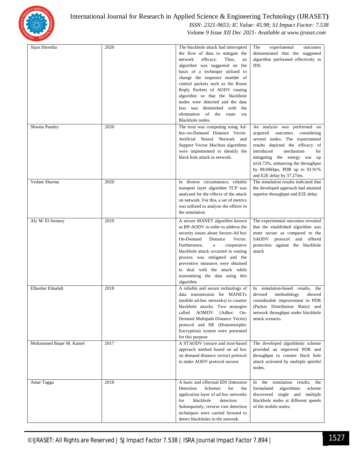

# International Journal for Research in Applied Science & Engineering Technology (IJRASET**)**

# *ISSN: 2321-9653; IC Value: 45.98; SJ Impact Factor: 7.538 Volume 9 Issue XII Dec 2021- Available at www.ijraset.com*

| Sijan Shrestha          | 2020 | The blackhole attack had interrupted<br>the flow of data to mitigate the<br>efficacy.<br>network<br>Thus,<br>an<br>algorithm was suggested on the<br>basis of a technique utilized to<br>change the sequence number of<br>control packets such as the Route<br>Reply Packets of AODV routing<br>algorithm so that the blackhole<br>nodes were detected and the data<br>loss was diminished with the<br>elimination of the route via<br>Blackhole nodes. | The<br>experimental<br>outcomes<br>demonstrated that the suggested<br>algorithm performed effectively in<br>IDS.                                                                                                                                                                                                |
|-------------------------|------|---------------------------------------------------------------------------------------------------------------------------------------------------------------------------------------------------------------------------------------------------------------------------------------------------------------------------------------------------------------------------------------------------------------------------------------------------------|-----------------------------------------------------------------------------------------------------------------------------------------------------------------------------------------------------------------------------------------------------------------------------------------------------------------|
| Shweta Pandey           | 2020 | The trust was computing using Ad-<br>hoc-on-Demand Distance Vector.<br>Artificial Neural Network and<br>Support Vector Machine algorithms<br>were implemented to identify the<br>black hole attack in network.                                                                                                                                                                                                                                          | An analysis was performed on<br>acquired outcomes<br>considering<br>several nodes. The experimental<br>results depicted the efficacy of<br>introduced<br>mechanism<br>for<br>mitigating the energy use up<br>to 54.72%, enhancing the throughput<br>by 88.68kbps, PDR up to 92.91%<br>and E2E delay by 37.27ms. |
| Vedant Sharma           | 2020 | In diverse circumstance, reliable<br>transport layer algorithm TCP was<br>analyzed for the effects of the attack<br>on network. For this, a set of metrics<br>was utilized to analyze the effects in<br>the simulation                                                                                                                                                                                                                                  | The simulation results indicated that<br>the developed approach had attained<br>superior throughput and E2E delay                                                                                                                                                                                               |
| Aly M. El-Semary        | 2019 | A secure MANET algorithm known<br>as BP-AODV in order to address the<br>security issues about Secure-Ad hoc<br>On-Demand<br>Distance<br>Vector.<br>Furthermore,<br>a<br>cooperative<br>blackhole attack occurred in routing<br>process was mitigated and the<br>preventive measures were obtained<br>to deal with the attack while<br>transmitting the data using this<br>algorithm                                                                     | The experimental outcomes revealed<br>that the established algorithm was<br>more secure as compared to the<br>SAODV protocol and offered<br>protection against the blackhole<br>attack                                                                                                                          |
| Elbasher Elmahdi        | 2018 | A reliable and secure technology of<br>data transmission for MANETs<br>(mobile ad-hoc networks) to counter<br>blackhole attacks. Two strategies<br>called AOMDV (Adhoc On-<br>Demand Multipath Distance Vector)<br>protocol and HE (Homomorphic<br>Encryption) system were presented<br>for this purpose                                                                                                                                                | In simulation-based results,<br>the<br>devised<br>methodology<br>showed<br>considerable improvement in PDR<br>(Packet Distribution Ratio) and<br>network throughput under blackhole<br>attack scenario.                                                                                                         |
| Mohammed Baqer M. Kamel | 2017 | A STAODV (secure and trust-based<br>approach method based on ad hoc<br>on demand distance vector) protocol<br>to make AODV protocol securer                                                                                                                                                                                                                                                                                                             | The developed algorithmic scheme<br>provided an improved PDR and<br>throughput to counter black hole<br>attack activated by multiple spiteful<br>nodes.                                                                                                                                                         |
| Amar Taggu              | 2018 | A basic and effectual IDS (Intrusion<br>Detection<br>Scheme)<br>for<br>the<br>application layer of ad hoc networks<br>blackhole<br>for<br>detection<br>Subsequently, reverse root detection<br>techniques were carried forward to<br>detect blackholes in the network.                                                                                                                                                                                  | In the simulation results,<br>the<br>formulated<br>scheme<br>algorithmic<br>discovered single and multiple<br>blackhole nodes at different speeds<br>of the mobile nodes.                                                                                                                                       |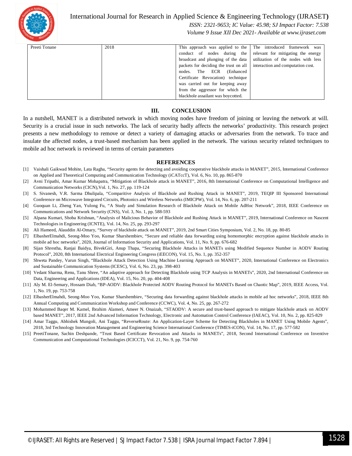

International Journal for Research in Applied Science & Engineering Technology (IJRASET**)**

 *ISSN: 2321-9653; IC Value: 45.98; SJ Impact Factor: 7.538*

 *Volume 9 Issue XII Dec 2021- Available at www.ijraset.com*

| Preeti Tonane | 2018 | This approach was applied to the The introduced framework was         |                                    |
|---------------|------|-----------------------------------------------------------------------|------------------------------------|
|               |      | conduct of nodes during the                                           | relevant for mitigating the energy |
|               |      | broadcast and plunging of the data utilization of the nodes with less |                                    |
|               |      | packets for deciding the trust on all                                 | interaction and computation cost.  |
|               |      | ECR<br>nodes. The<br>(Enhanced)                                       |                                    |
|               |      | Certificate Revocation) technique                                     |                                    |
|               |      | was carried out for keeping away                                      |                                    |
|               |      | from the aggressor for which the                                      |                                    |
|               |      | blackhole assailant was boycotted.                                    |                                    |

## **III. CONCLUSION**

In a nutshell, MANET is a distributed network in which moving nodes have freedom of joining or leaving the network at will. Security is a crucial issue in such networks. The lack of security badly affects the networks' productivity. This research project presents a new methodology to remove or detect a variety of damaging attacks or adversaries from the network. To trace and insulate the affected nodes, a trust-based mechanism has been applied in the network. The various security related techniques to mobile ad hoc network is reviewed in terms of certain parameters

#### **REFERENCES**

- [1] Vaishali Gaikwad Mohite, Lata Ragha, "Security agents for detecting and avoiding cooperative blackhole attacks in MANET", 2015, International Conference on Applied and Theoretical Computing and Communication Technology (iCATccT), Vol. 6, No. 10, pp. 865-870
- [2] Avni Tripathi, Amar Kumar Mohapatra, "Mitigation of Blackhole attack in MANET", 2016, 8th International Conference on Computational Intelligence and Communication Networks (CICN),Vol. 1, No. 27, pp. 119-124
- [3] S. Sivanesh, V.R. Sarma Dhulipala, "Comparitive Analysis of Blackhole and Rushing Attack in MANET", 2019, TEQIP III Sponsored International Conference on Microwave Integrated Circuits, Photonics and Wireless Networks (IMICPW), Vol. 14, No. 6, pp. 207-211
- [4] Guoquan Li, Zheng Yan, Yulong Fu, "A Study and Simulation Research of Blackhole Attack on Mobile AdHoc Network", 2018, IEEE Conference on Communications and Network Security (CNS), Vol. 3, No. 1, pp. 588-593
- [5] Alpana Kumari, Shoba Krishnan, "Analysis of Malicious Behavior of Blackhole and Rushing Attack in MANET", 2019, International Conference on Nascent Technologies in Engineering (ICNTE), Vol. 14, No. 25, pp. 293-297
- [6] Ali Hameed, Alauddin Al-Omary, "Survey of blackhole attack on MANET", 2019, 2nd Smart Cities Symposium, Vol. 2, No. 18, pp. 80-85
- [7] ElbasherElmahdi, Seong-Moo Yoo, Kumar Sharshembiev, "Secure and reliable data forwarding using homomorphic encryption against blackhole attacks in mobile ad hoc networks", 2020, Journal of Information Security and Applications, Vol. 11, No. 9, pp. 676-682
- [8] Sijan Shrestha, Ranjai Baidya, BivekGiri, Anup Thapa, "Securing Blackhole Attacks in MANETs using Modified Sequence Number in AODV Routing Protocol", 2020, 8th International Electrical Engineering Congress (iEECON), Vol. 15, No. 1, pp. 352-357
- [9] Shweta Pandey, Varun Singh, "Blackhole Attack Detection Using Machine Learning Approach on MANET", 2020, International Conference on Electronics and Sustainable Communication Systems (ICESC), Vol. 6, No. 23, pp. 398-403
- [10] Vedant Sharma, Renu, Tanu Shree, "An adaptive approach for Detecting Blackhole using TCP Analysis in MANETs", 2020, 2nd International Conference on Data, Engineering and Applications (IDEA), Vol. 15, No. 20, pp. 404-408
- [11] Aly M. El-Semary, Hossam Diab, "BP-AODV: Blackhole Protected AODV Routing Protocol for MANETs Based on Chaotic Map", 2019, IEEE Access, Vol. 1, No. 19, pp. 753-758
- [12] ElbasherElmahdi, Seong-Moo Yoo, Kumar Sharshembiev, "Securing data forwarding against blackhole attacks in mobile ad hoc networks", 2018, IEEE 8th Annual Computing and Communication Workshop and Conference (CCWC), Vol. 4, No. 25, pp. 267-272
- [13] Mohammed Baqer M. Kamel, Ibrahim Alameri, Ameer N. Onaizah, "STAODV: A secure and trust-based approach to mitigate blackhole attack on AODV based MANET", 2017, IEEE 2nd Advanced Information Technology, Electronic and Automation Control Conference (IAEAC), Vol. 10, No. 2, pp. 825-829
- [14] Amar Taggu, Abhishek Mungoli, Ani Taggu, "ReverseRoute: An Application-Layer Scheme for Detecting Blackholes in MANET Using Mobile Agents", 2018, 3rd Technology Innovation Management and Engineering Science International Conference (TIMES-iCON), Vol. 14, No. 17, pp. 577-582
- [15] PreetiTonane, Sachin Deshpande, "Trust Based Certificate Revocation and Attacks in MANETs", 2018, Second International Conference on Inventive Communication and Computational Technologies (ICICCT), Vol. 21, No. 9, pp. 754-760